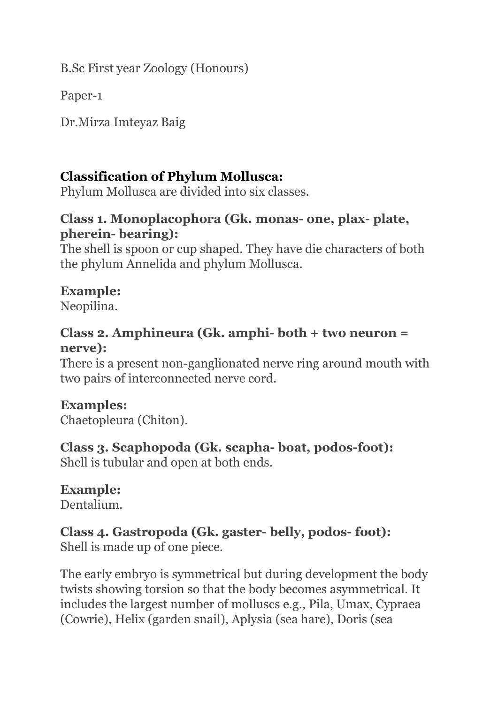B.Sc First year Zoology (Honours)

Paper-1

Dr.Mirza Imteyaz Baig

## **Classification of Phylum Mollusca:**

Phylum Mollusca are divided into six classes.

### **Class 1. Monoplacophora (Gk. monas- one, plax- plate, pherein- bearing):**

The shell is spoon or cup shaped. They have die characters of both the phylum Annelida and phylum Mollusca.

## **Example:**

Neopilina.

#### **Class 2. Amphineura (Gk. amphi- both + two neuron = nerve):**

There is a present non-ganglionated nerve ring around mouth with two pairs of interconnected nerve cord.

# **Examples:**

Chaetopleura (Chiton).

## **Class 3. Scaphopoda (Gk. scapha- boat, podos-foot):**

Shell is tubular and open at both ends.

## **Example:**

Dentalium.

# **Class 4. Gastropoda (Gk. gaster- belly, podos- foot):**

Shell is made up of one piece.

The early embryo is symmetrical but during development the body twists showing torsion so that the body becomes asymmetrical. It includes the largest number of molluscs e.g., Pila, Umax, Cypraea (Cowrie), Helix (garden snail), Aplysia (sea hare), Doris (sea